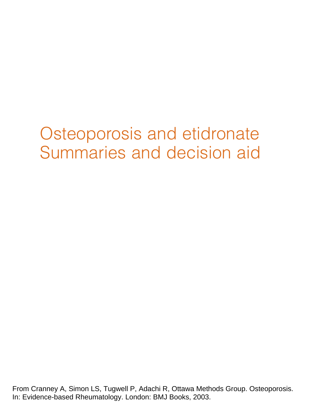# Osteoporosis and etidronate Summaries and decision aid

From Cranney A, Simon LS, Tugwell P, Adachi R, Ottawa Methods Group. Osteoporosis. In: Evidence-based Rheumatology. London: BMJ Books, 2003.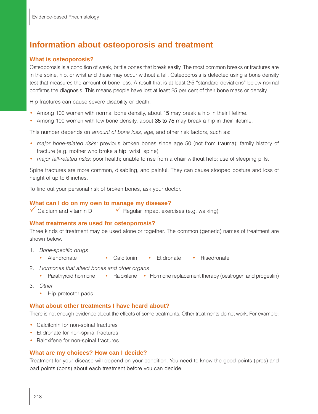# **Information about osteoporosis and treatment**

#### **What is osteoporosis?**

Osteoporosis is a condition of weak, brittle bones that break easily. The most common breaks or fractures are in the spine, hip, or wrist and these may occur without a fall. Osteoporosis is detected using a bone density test that measures the amount of bone loss. A result that is at least 2·5 "standard deviations" below normal confirms the diagnosis. This means people have lost at least 25 per cent of their bone mass or density.

Hip fractures can cause severe disability or death.

- Among 100 women with normal bone density, about 15 may break a hip in their lifetime.
- Among 100 women with low bone density, about 35 to 75 may break a hip in their lifetime.

This number depends on amount of bone loss, age, and other risk factors, such as:

- major bone-related risks: previous broken bones since age 50 (not from trauma); family history of fracture (e.g. mother who broke a hip, wrist, spine)
- major fall-related risks: poor health; unable to rise from a chair without help; use of sleeping pills.

Spine fractures are more common, disabling, and painful. They can cause stooped posture and loss of height of up to 6 inches.

To find out your personal risk of broken bones, ask your doctor.

#### **What can I do on my own to manage my disease?**

 $\checkmark$  Calcium and vitamin D  $\checkmark$  Regular impact exercises (e.g. walking)

#### **What treatments are used for osteoporosis?**

Three kinds of treatment may be used alone or together. The common (generic) names of treatment are shown below.

- 1. Bone-specific drugs
	- Alendronate Calcitonin Etidronate Risedronate
- 2. Hormones that affect bones and other organs
	- Parathyroid hormone Raloxifene Hormone replacement therapy (oestrogen and progestin)
- 3. Other
	- Hip protector pads

#### **What about other treatments I have heard about?**

There is not enough evidence about the effects of some treatments. Other treatments do not work. For example:

- Calcitonin for non-spinal fractures
- Etidronate for non-spinal fractures
- Raloxifene for non-spinal fractures

#### **What are my choices? How can I decide?**

Treatment for your disease will depend on your condition. You need to know the good points (pros) and bad points (cons) about each treatment before you can decide.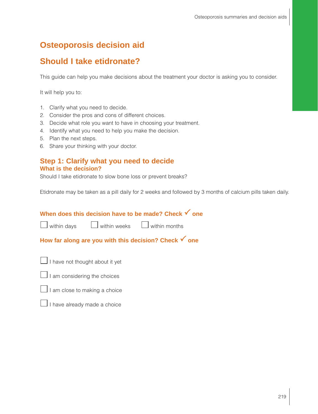# **Osteoporosis decision aid**

## **Should I take etidronate?**

This guide can help you make decisions about the treatment your doctor is asking you to consider.

It will help you to:

- 1. Clarify what you need to decide.
- 2. Consider the pros and cons of different choices.
- 3. Decide what role you want to have in choosing your treatment.
- 4. Identify what you need to help you make the decision.
- 5. Plan the next steps.
- 6. Share your thinking with your doctor.

#### **Step 1: Clarify what you need to decide What is the decision?**

Should I take etidronate to slow bone loss or prevent breaks?

Etidronate may be taken as a pill daily for 2 weeks and followed by 3 months of calcium pills taken daily.

## **When does this decision have to be made? Check √ one**

 $\Box$  within days  $\Box$  within weeks  $\Box$  within months

## How far along are you with this decision? Check  $\checkmark$  one



 $\Box$  I am considering the choices



 $\Box$  I have already made a choice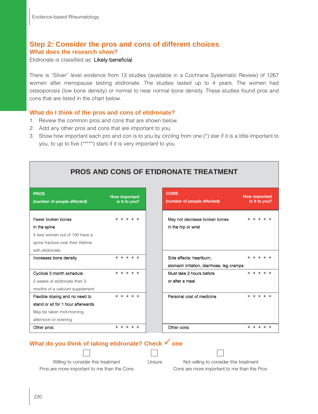## **Step 2: Consider the pros and cons of different choices What does the research show?**

Etidronate is classified as: Likely beneficial

There is "Silver" level evidence from 13 studies (available in a Cochrane Systematic Review) of 1267 women after menopause testing etidronate. The studies lasted up to 4 years. The women had osteoporosis (low bone density) or normal to near normal bone density. These studies found pros and cons that are listed in the chart below.

#### **What do I think of the pros and cons of etidronate?**

- 1. Review the common pros and cons that are shown below.
- 2. Add any other pros and cons that are important to you.
- 3. Show how important each pro and con is to you by circling from one (\*) star if it is a little important to you, to up to five (\*\*\*\*\*) stars if it is very important to you.

## **PROS AND CONS OF ETIDRONATE TREATMENT**

| <b>PROS</b><br>(number of people affected) | <b>CONS</b><br><b>How important</b><br>is it to you?<br>(number of people affected) |  |  |  |  |  |
|--------------------------------------------|-------------------------------------------------------------------------------------|--|--|--|--|--|
| Fewer broken bones                         | * * * * *                                                                           |  |  |  |  |  |
| in the spine                               |                                                                                     |  |  |  |  |  |
| 4 less women out of 100 have a             |                                                                                     |  |  |  |  |  |
| spine fracture over their lifetime         |                                                                                     |  |  |  |  |  |
| with etidronate                            |                                                                                     |  |  |  |  |  |
| Increases bone density                     | $* * * * * *$                                                                       |  |  |  |  |  |
|                                            |                                                                                     |  |  |  |  |  |
| Cyclical 3 month schedule                  | * * * * *                                                                           |  |  |  |  |  |
| 2 weeks of etidronate then 3               |                                                                                     |  |  |  |  |  |
| months of a calcium supplement             |                                                                                     |  |  |  |  |  |
| Flexible dosing and no need to             | $* * * * * *$                                                                       |  |  |  |  |  |
| stand or sit for 1 hour afterwards         |                                                                                     |  |  |  |  |  |
| May be taken mid-morning,                  |                                                                                     |  |  |  |  |  |
| afternoon or evening                       |                                                                                     |  |  |  |  |  |
| Other pros:                                | * * * * *                                                                           |  |  |  |  |  |

| <b>CONS</b><br>(number of people affected)                            | <b>How important</b> | is it to you? |  |
|-----------------------------------------------------------------------|----------------------|---------------|--|
| May not decrease broken bones<br>in the hip or wrist                  | * * * * *            |               |  |
| Side effects: heartburn,<br>stomach irritation, diarrhoea, leg cramps |                      | * * * * *     |  |
| Must take 2 hours before<br>or after a meal                           |                      | * * * * *     |  |
| Personal cost of medicine                                             |                      | * * * * *     |  |
| Other cons:                                                           |                      | * * * * *     |  |

### **What do you think of taking etidronate? Check √ one**



Willing to consider this treatment Unsure Not willing to consider this treatment Pros are more important to me than the Cons Cons are more important to me than the Pros